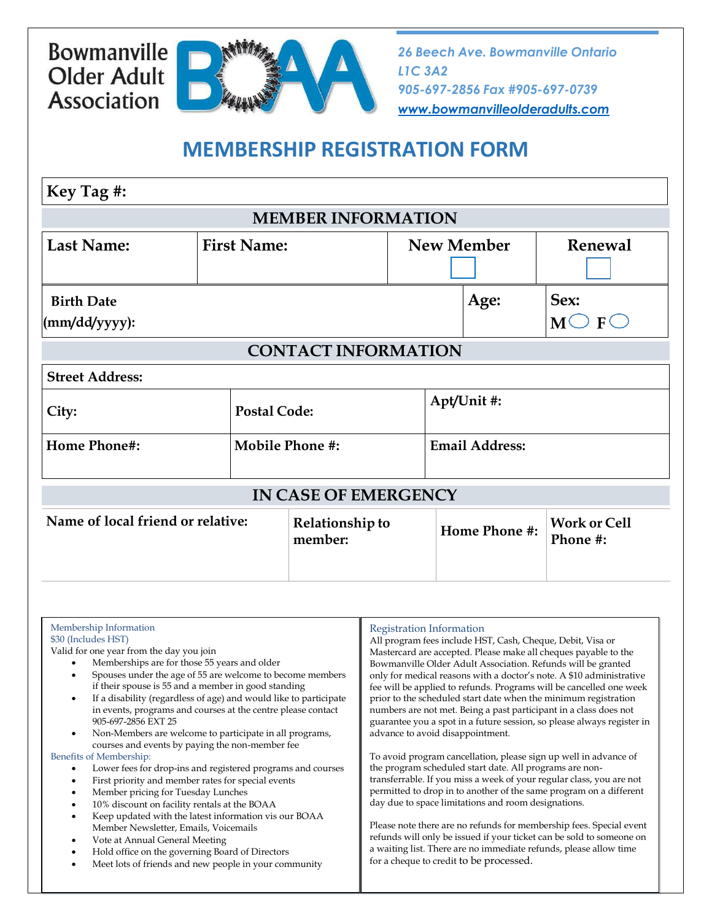## Bowmanville **Older Adult Association**



*26 Beech Ave. Bowmanville Ontario L1C 3A2 905-697-2856 Fax #905-697-0739 [www.bowmanvilleolderadults.com](http://www.bowmanvilleolderadults.com/)*

## **MEMBERSHIP REGISTRATION FORM**

| Key Tag #:                                      |                    |                            |                   |                       |                                 |  |  |
|-------------------------------------------------|--------------------|----------------------------|-------------------|-----------------------|---------------------------------|--|--|
| <b>MEMBER INFORMATION</b>                       |                    |                            |                   |                       |                                 |  |  |
| <b>Last Name:</b>                               | <b>First Name:</b> |                            | <b>New Member</b> |                       | <b>Renewal</b>                  |  |  |
| <b>Birth Date</b><br>$\frac{m\ddot{d}}{yyyy}$ : |                    |                            |                   | Age:                  | Sex:<br>$M\bigcirc F\bigcirc$   |  |  |
| <b>CONTACT INFORMATION</b>                      |                    |                            |                   |                       |                                 |  |  |
| <b>Street Address:</b>                          |                    |                            |                   |                       |                                 |  |  |
| City:                                           |                    | <b>Postal Code:</b>        |                   | Apt/Unit #:           |                                 |  |  |
| <b>Home Phone#:</b>                             |                    | <b>Mobile Phone #:</b>     |                   | <b>Email Address:</b> |                                 |  |  |
| <b>IN CASE OF EMERGENCY</b>                     |                    |                            |                   |                       |                                 |  |  |
| Name of local friend or relative:               |                    | Relationship to<br>member: |                   | Home Phone #:         | <b>Work or Cell</b><br>Phone #: |  |  |
|                                                 |                    |                            |                   |                       |                                 |  |  |

| Membership Information<br>\$30 (Includes HST)<br>Valid for one year from the day you join<br>Memberships are for those 55 years and older<br>Spouses under the age of 55 are welcome to become members<br>if their spouse is 55 and a member in good standing<br>If a disability (regardless of age) and would like to participate<br>$\bullet$<br>in events, programs and courses at the centre please contact<br>905-697-2856 EXT 25<br>Non-Members are welcome to participate in all programs,<br>$\bullet$<br>courses and events by paying the non-member fee<br>Benefits of Membership:<br>Lower fees for drop-ins and registered programs and courses<br>First priority and member rates for special events<br>٠<br>Member pricing for Tuesday Lunches<br>$\bullet$<br>10% discount on facility rentals at the BOAA<br>$\bullet$<br>Keep updated with the latest information vis our BOAA<br>٠<br>Member Newsletter, Emails, Voicemails | Registration Information<br>All program fees include HST, Cash, Cheque, Debit, Visa or<br>Mastercard are accepted. Please make all cheques payable to the<br>Bowmanville Older Adult Association. Refunds will be granted<br>only for medical reasons with a doctor's note. A \$10 administrative<br>fee will be applied to refunds. Programs will be cancelled one week<br>prior to the scheduled start date when the minimum registration<br>numbers are not met. Being a past participant in a class does not<br>guarantee you a spot in a future session, so please always register in<br>advance to avoid disappointment.<br>To avoid program cancellation, please sign up well in advance of<br>the program scheduled start date. All programs are non-<br>transferrable. If you miss a week of your regular class, you are not<br>permitted to drop in to another of the same program on a different<br>day due to space limitations and room designations.<br>Please note there are no refunds for membership fees. Special event |
|-----------------------------------------------------------------------------------------------------------------------------------------------------------------------------------------------------------------------------------------------------------------------------------------------------------------------------------------------------------------------------------------------------------------------------------------------------------------------------------------------------------------------------------------------------------------------------------------------------------------------------------------------------------------------------------------------------------------------------------------------------------------------------------------------------------------------------------------------------------------------------------------------------------------------------------------------|-------------------------------------------------------------------------------------------------------------------------------------------------------------------------------------------------------------------------------------------------------------------------------------------------------------------------------------------------------------------------------------------------------------------------------------------------------------------------------------------------------------------------------------------------------------------------------------------------------------------------------------------------------------------------------------------------------------------------------------------------------------------------------------------------------------------------------------------------------------------------------------------------------------------------------------------------------------------------------------------------------------------------------------------|
| Vote at Annual General Meeting<br>$\bullet$<br>Hold office on the governing Board of Directors<br>$\bullet$<br>Meet lots of friends and new people in your community                                                                                                                                                                                                                                                                                                                                                                                                                                                                                                                                                                                                                                                                                                                                                                          | refunds will only be issued if your ticket can be sold to someone on<br>a waiting list. There are no immediate refunds, please allow time<br>for a cheque to credit to be processed.                                                                                                                                                                                                                                                                                                                                                                                                                                                                                                                                                                                                                                                                                                                                                                                                                                                      |